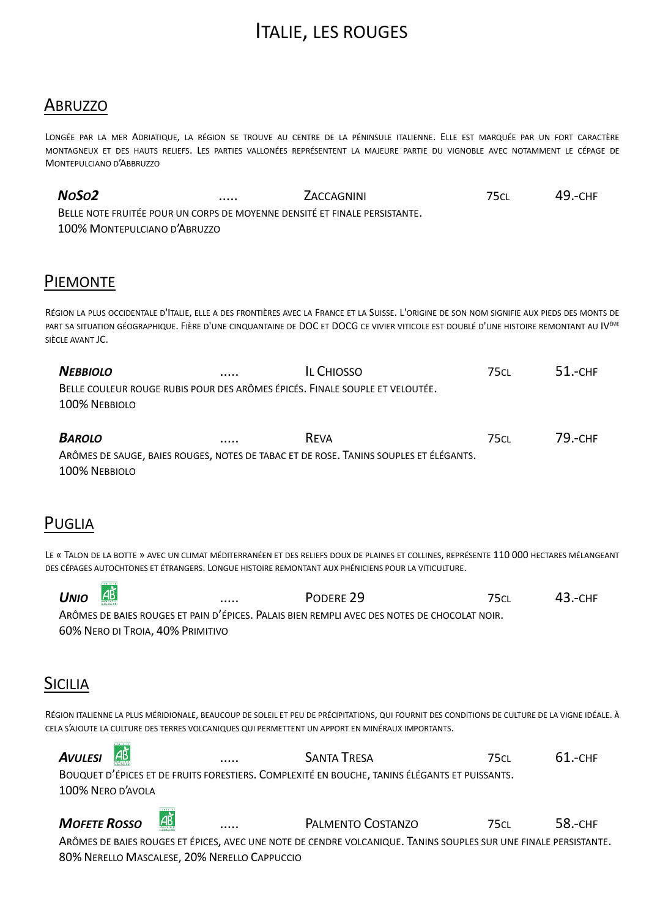# ITALIE, LES ROUGES

### **ABRUZZO**

LONGÉE PAR LA MER ADRIATIQUE, LA RÉGION SE TROUVE AU CENTRE DE LA PÉNINSULE ITALIENNE. ELLE EST MARQUÉE PAR UN FORT CARACTÈRE MONTAGNEUX ET DES HAUTS RELIEFS. LES PARTIES VALLONÉES REPRÉSENTENT LA MAJEURE PARTIE DU VIGNOBLE AVEC NOTAMMENT LE CÉPAGE DE MONTEPULCIANO D'ABBRUZZO

*NOSO2* ..... ZACCAGNINI 75CL 49.-CHF BELLE NOTE FRUITÉE POUR UN CORPS DE MOYENNE DENSITÉ ET FINALE PERSISTANTE. 100% MONTEPULCIANO D'ABRUZZO

#### PIEMONTE

RÉGION LA PLUS OCCIDENTALE D'ITALIE, ELLE A DES FRONTIÈRES AVEC LA FRANCE ET LA SUISSE. L'ORIGINE DE SON NOM SIGNIFIE AUX PIEDS DES MONTS DE PART SA SITUATION GÉOGRAPHIQUE. FIÈRE D'UNE CINQUANTAINE DE DOC ET DOCG CE VIVIER VITICOLE EST DOUBLÉ D'UNE HISTOIRE REMONTANT AU IVÉME SIÈCLE AVANT JC.

*NEBBIOLO* ..... IL CHIOSSO 75CL 51.-CHF BELLE COULEUR ROUGE RUBIS POUR DES ARÔMES ÉPICÉS. FINALE SOUPLE ET VELOUTÉE. 100% NEBBIOLO

*BAROLO* ..... REVA 75CL 79.-CHF ARÔMES DE SAUGE, BAIES ROUGES, NOTES DE TABAC ET DE ROSE. TANINS SOUPLES ET ÉLÉGANTS. 100% NEBBIOLO

#### PUGLIA

**CERTIFIE** 

 $\frac{1}{2}$ 

LE « TALON DE LA BOTTE » AVEC UN CLIMAT MÉDITERRANÉEN ET DES RELIEFS DOUX DE PLAINES ET COLLINES, REPRÉSENTE 110 000 HECTARES MÉLANGEANT DES CÉPAGES AUTOCHTONES ET ÉTRANGERS. LONGUE HISTOIRE REMONTANT AUX PHÉNICIENS POUR LA VITICULTURE.

| <b>UNIO</b> | $\overline{AB}$                  | <br>PODERE 29                                                                                | 75ci | $43 - CHF$ |
|-------------|----------------------------------|----------------------------------------------------------------------------------------------|------|------------|
|             |                                  | ARÔMES DE BAIES ROUGES ET PAIN D'ÉPICES. PALAIS BIEN REMPLI AVEC DES NOTES DE CHOCOLAT NOIR. |      |            |
|             | 60% NERO DI TROIA, 40% PRIMITIVO |                                                                                              |      |            |

## **SICILIA**

RÉGION ITALIENNE LA PLUS MÉRIDIONALE, BEAUCOUP DE SOLEIL ET PEU DE PRÉCIPITATIONS, QUI FOURNIT DES CONDITIONS DE CULTURE DE LA VIGNE IDÉALE. À CELA S'AJOUTE LA CULTURE DES TERRES VOLCANIQUES QUI PERMETTENT UN APPORT EN MINÉRAUX IMPORTANTS.

| <b>AVULESI</b>    | $\overrightarrow{AB}$ | <br><b>SANTA TRESA</b>                                                                        | 75ci. | $61 - CHF$ |
|-------------------|-----------------------|-----------------------------------------------------------------------------------------------|-------|------------|
|                   |                       | BOUQUET D'ÉPICES ET DE FRUITS FORESTIERS. COMPLEXITÉ EN BOUCHE, TANINS ÉLÉGANTS ET PUISSANTS. |       |            |
| 100% NERO D'AVOLA |                       |                                                                                               |       |            |
|                   | <b>CERTIFICA</b>      |                                                                                               |       |            |

**MOFETE ROSSO**  $\overline{AB}$  ..... PALMENTO COSTANZO 75CL 58.-CHF ARÔMES DE BAIES ROUGES ET ÉPICES, AVEC UNE NOTE DE CENDRE VOLCANIQUE. TANINS SOUPLES SUR UNE FINALE PERSISTANTE. 80% NERELLO MASCALESE, 20% NERELLO CAPPUCCIO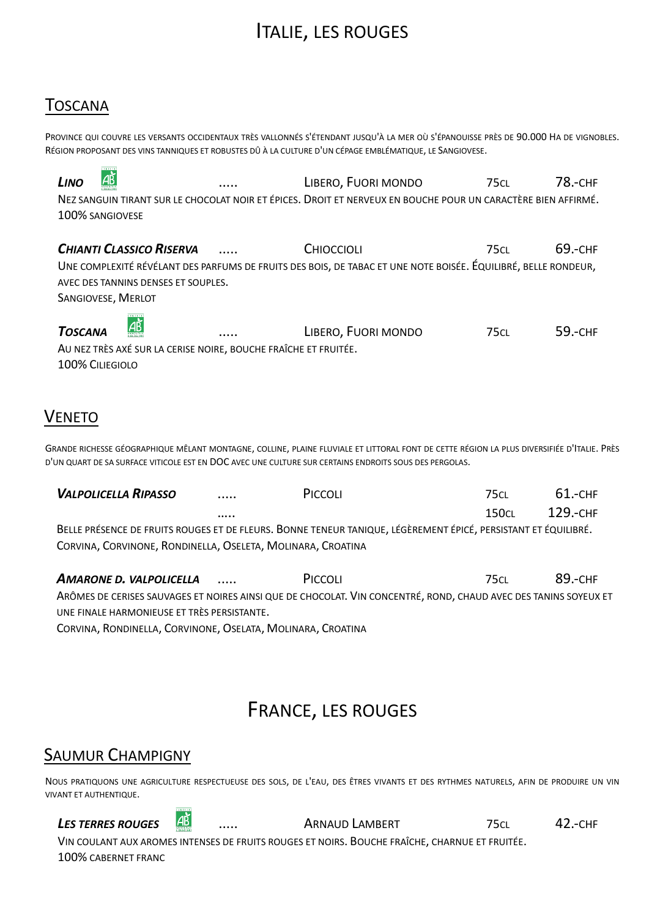# **ITALIE, LES ROUGES**

## **TOSCANA**

 $7.000000$ 

PROVINCE QUI COUVRE LES VERSANTS OCCIDENTAUX TRÈS VALLONNÉS S'ÉTENDANT JUSQU'À LA MER OÙ S'ÉPANOUISSE PRÈS DE 90.000 HA DE VIGNOBLES. RÉGION PROPOSANT DES VINS TANNIQUES ET ROBUSTES DÛ À LA CULTURE D'UN CÉPAGE EMBLÉMATIQUE, LE SANGIOVESE.

| <b>LINO</b> | $\frac{\text{AB}}{\text{BA}}$ | <br>LIBERO, FUORI MONDO                                                                                       | 75 <sub>CL</sub> | 78.-CHF |
|-------------|-------------------------------|---------------------------------------------------------------------------------------------------------------|------------------|---------|
|             |                               | NEZ SANGUIN TIRANT SUR LE CHOCOLAT NOIR ET ÉPICES. DROIT ET NERVEUX EN BOUCHE POUR UN CARACTÈRE BIEN AFFIRMÉ. |                  |         |
|             | 100% SANGIOVESE               |                                                                                                               |                  |         |

**CHIANTI CLASSICO RISERVA** 69.-CHF CHIOCCIOLI **75CL** . . . . . UNE COMPLEXITÉ RÉVÉLANT DES PARFUMS DE FRUITS DES BOIS, DE TABAC ET UNE NOTE BOISÉE. ÉQUILIBRÉ, BELLE RONDEUR, AVEC DES TANNINS DENSES ET SOUPLES. SANGIOVESE, MERLOT

АŘ **TOSCANA** LIBERO. FUORI MONDO 750  $59 - CHF$ AU NEZ TRÈS AXÉ SUR LA CERISE NOIRE, BOUCHE FRAÎCHE ET FRUITÉE. 100% CILIEGIOLO

## **VENETO**

GRANDE RICHESSE GÉOGRAPHIQUE MÊLANT MONTAGNE, COLLINE, PLAINE FLUVIALE ET LITTORAL FONT DE CETTE RÉGION LA PLUS DIVERSIFIÉE D'ITALIE. PRÈS D'UN QUART DE SA SURFACE VITICOLE EST EN DOC AVEC UNE CULTURE SUR CERTAINS ENDROITS SOUS DES PERGOLAS.

| <b>VALPOLICELLA RIPASSO</b>                                 | <br>PICCOLI                                                                                                    | 75ci  | 61 - снғ |
|-------------------------------------------------------------|----------------------------------------------------------------------------------------------------------------|-------|----------|
|                                                             |                                                                                                                | 150ci | 129.-CHF |
|                                                             | BELLE PRÉSENCE DE FRUITS ROUGES ET DE FLEURS. BONNE TENEUR TANIQUE, LÉGÈREMENT ÉPICÉ, PERSISTANT ET ÉQUILIBRÉ. |       |          |
| CORVINA, CORVINONE, RONDINELLA, OSELETA, MOLINARA, CROATINA |                                                                                                                |       |          |

**AMARONE D. VALPOLICELLA** PICCOLI  $75<sub>CL</sub>$ 89.-CHF  $\cdots$ ARÔMES DE CERISES SAUVAGES ET NOIRES AINSI QUE DE CHOCOLAT. VIN CONCENTRÉ, ROND, CHAUD AVEC DES TANINS SOYEUX ET UNE FINALE HARMONIEUSE ET TRÈS PERSISTANTE.

CORVINA, RONDINELLA, CORVINONE, OSELATA, MOLINARA, CROATINA

# **FRANCE, LES ROUGES**

### **SAUMUR CHAMPIGNY**

NOUS PRATIQUONS UNE AGRICULTURE RESPECTUEUSE DES SOLS, DE L'EAU, DES ÊTRES VIVANTS ET DES RYTHMES NATURELS, AFIN DE PRODUIRE UN VIN **VIVANT ET AUTHENTIQUE.** 

|AŘ **LES TERRES ROUGES ARNAUD LAMBERT**  $42.-CHF$ **75CL** VIN COULANT AUX AROMES INTENSES DE FRUITS ROUGES ET NOIRS. BOUCHE FRAÎCHE, CHARNUE ET FRUITÉE. 100% CABERNET FRANC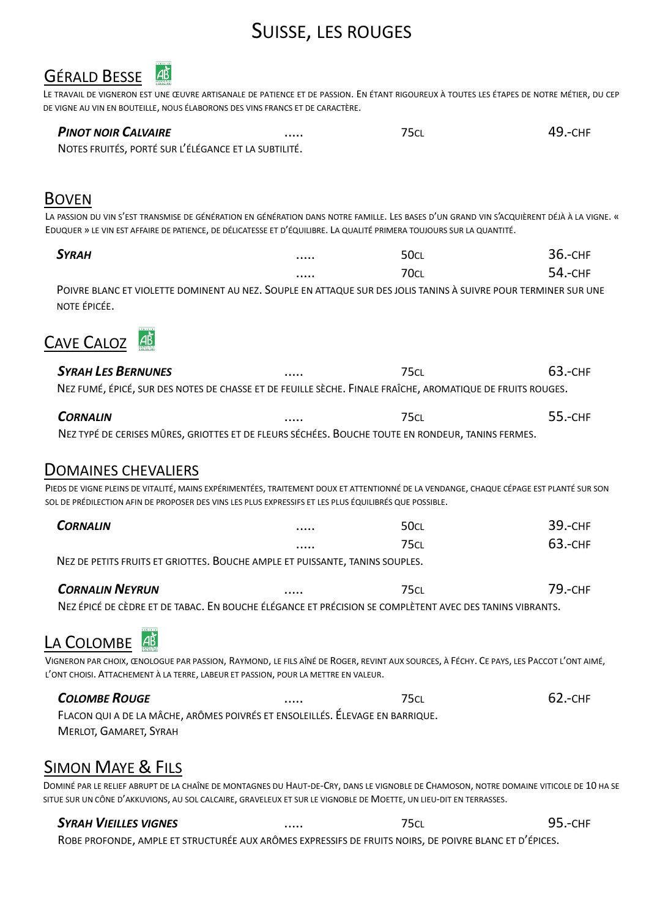# SUISSE, LES ROUGES



LE TRAVAIL DE VIGNERON EST UNE ŒUVRE ARTISANALE DE PATIENCE ET DE PASSION. EN ÉTANT RIGOUREUX À TOUTES LES ÉTAPES DE NOTRE MÉTIER, DU CEP DE VIGNE AU VIN EN BOUTEILLE, NOUS ÉLABORONS DES VINS FRANCS ET DE CARACTÈRE.

| <b>PINOT NOIR CALVAIRE</b>                           | <br>75cl | 49.-снғ |
|------------------------------------------------------|----------|---------|
| NOTES FRUITÉS, PORTÉ SUR L'ÉLÉGANCE ET LA SUBTILITÉ. |          |         |

#### BOVEN

LA PASSION DU VIN S'EST TRANSMISE DE GÉNÉRATION EN GÉNÉRATION DANS NOTRE FAMILLE. LES BASES D'UN GRAND VIN S'ACQUIÈRENT DÉJÀ À LA VIGNE. « EDUQUER » LE VIN EST AFFAIRE DE PATIENCE, DE DÉLICATESSE ET D'ÉQUILIBRE. LA QUALITÉ PRIMERA TOUJOURS SUR LA QUANTITÉ.

| <b>SYRAH</b>                                                                                                    | <br>50cl  | $36 - CHF$ |
|-----------------------------------------------------------------------------------------------------------------|-----------|------------|
|                                                                                                                 | <br>70ci. | 54 - CHF   |
| POIVRE BLANC ET VIOLETTE DOMINENT AU NEZ. SOUPLE EN ATTAQUE SUR DES JOLIS TANINS À SUIVRE POUR TERMINER SUR UNE |           |            |
| NOTE FPICFE.                                                                                                    |           |            |



| <b>SYRAH LES BERNUNES</b>                                                                                  | <br>75cl | 63.-CHF |
|------------------------------------------------------------------------------------------------------------|----------|---------|
| NEZ FUMÉ, ÉPICÉ, SUR DES NOTES DE CHASSE ET DE FEUILLE SÈCHE. FINALE FRAÎCHE, AROMATIQUE DE FRUITS ROUGES. |          |         |

| <b>CORNALIN</b>                                                                                   | <br>75cl | 55.-CHF |
|---------------------------------------------------------------------------------------------------|----------|---------|
| NEZ TYPÉ DE CERISES MÛRES, GRIOTTES ET DE FLEURS SÉCHÉES. BOUCHE TOUTE EN RONDEUR, TANINS FERMES. |          |         |

### DOMAINES CHEVALIERS

PIEDS DE VIGNE PLEINS DE VITALITÉ, MAINS EXPÉRIMENTÉES, TRAITEMENT DOUX ET ATTENTIONNÉ DE LA VENDANGE, CHAQUE CÉPAGE EST PLANTÉ SUR SON SOL DE PRÉDILECTION AFIN DE PROPOSER DES VINS LES PLUS EXPRESSIFS ET LES PLUS ÉQUILIBRÉS QUE POSSIBLE.

| <b>CORNALIN</b>                                                                        | <br>50cl | 39.-снғ |
|----------------------------------------------------------------------------------------|----------|---------|
|                                                                                        | <br>75CL | 63.-CHF |
| $N_{\rm F}$ as assured follows at onlowing. Douglin AMALE 57 BULGOMETRO TANUALE COUNTS |          |         |

NEZ DE PETITS FRUITS ET GRIOTTES. BOUCHE AMPLE ET PUISSANTE, TANINS SOUPLES.

| <b>CORNALIN NEYRUN</b>                                                                                  | <br><b>75CL</b> | 79.-CHF |
|---------------------------------------------------------------------------------------------------------|-----------------|---------|
| NEZ ÉPICÉ DE CÈDRE ET DE TABAC. EN BOUCHE ÉLÉGANCE ET PRÉCISION SE COMPLÈTENT AVEC DES TANINS VIBRANTS. |                 |         |

## LA COLOMBE

VIGNERON PAR CHOIX, ŒNOLOGUE PAR PASSION, RAYMOND, LE FILS AÎNÉ DE ROGER, REVINT AUX SOURCES, À FÉCHY. CE PAYS, LES PACCOT L'ONT AIMÉ, L'ONT CHOISI. ATTACHEMENT À LA TERRE, LABEUR ET PASSION, POUR LA METTRE EN VALEUR.

*COLOMBE ROUGE* ..... 75CL 62.-CHF FLACON QUI A DE LA MÂCHE, ARÔMES POIVRÉS ET ENSOLEILLÉS. ÉLEVAGE EN BARRIQUE. MERLOT, GAMARET, SYRAH

## SIMON MAYE & FILS

DOMINÉ PAR LE RELIEF ABRUPT DE LA CHAÎNE DE MONTAGNES DU HAUT-DE-CRY, DANS LE VIGNOBLE DE CHAMOSON, NOTRE DOMAINE VITICOLE DE 10 HA SE SITUE SUR UN CÔNE D'AKKUVIONS, AU SOL CALCAIRE, GRAVELEUX ET SUR LE VIGNOBLE DE MOETTE, UN LIEU-DIT EN TERRASSES.

#### *SYRAH VIEILLES VIGNES* ..... 75CL 95.-CHF

ROBE PROFONDE, AMPLE ET STRUCTURÉE AUX ARÔMES EXPRESSIFS DE FRUITS NOIRS, DE POIVRE BLANC ET D'ÉPICES.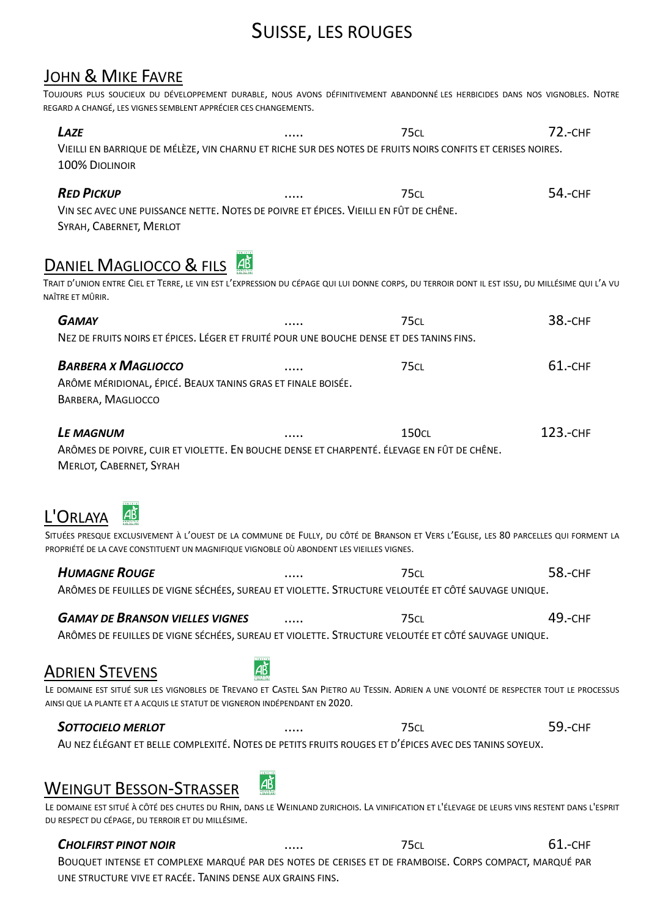# SUISSE, LES ROUGES

## JOHN & MIKE FAVRE

TOUJOURS PLUS SOUCIEUX DU DÉVELOPPEMENT DURABLE, NOUS AVONS DÉFINITIVEMENT ABANDONNÉ LES HERBICIDES DANS NOS VIGNOBLES. NOTRE REGARD A CHANGÉ. LES VIGNES SEMBLENT APPRÉCIER CES CHANGEMENTS.

| LAZE<br>VIEILLI EN BARRIQUE DE MÉLÈZE, VIN CHARNU ET RICHE SUR DES NOTES DE FRUITS NOIRS CONFITS ET CERISES NOIRES.<br>100% DIOLINOIR                                                                                                                                                                                                                                                     |    | <b>75CL</b>  | <b>72.-CHF</b> |
|-------------------------------------------------------------------------------------------------------------------------------------------------------------------------------------------------------------------------------------------------------------------------------------------------------------------------------------------------------------------------------------------|----|--------------|----------------|
| <b>RED PICKUP</b><br>VIN SEC AVEC UNE PUISSANCE NETTE. NOTES DE POIVRE ET ÉPICES. VIEILLI EN FÛT DE CHÊNE.<br>SYRAH, CABERNET, MERLOT                                                                                                                                                                                                                                                     |    | <b>75CL</b>  | 54.-CHF        |
| DANIEL MAGLIOCCO & FILS 48<br>TRAIT D'UNION ENTRE CIEL ET TERRE, LE VIN EST L'EXPRESSION DU CÉPAGE QUI LUI DONNE CORPS, DU TERROIR DONT IL EST ISSU, DU MILLÉSIME QUI L'A VU<br>NAÎTRE ET MÛRIR.                                                                                                                                                                                          |    |              |                |
| <b>GAMAY</b>                                                                                                                                                                                                                                                                                                                                                                              |    | <b>75CL</b>  | <b>38.-CHF</b> |
| NEZ DE FRUITS NOIRS ET ÉPICES. LÉGER ET FRUITÉ POUR UNE BOUCHE DENSE ET DES TANINS FINS.                                                                                                                                                                                                                                                                                                  |    |              |                |
| <b>BARBERA X MAGLIOCCO</b><br>ARÔME MÉRIDIONAL, ÉPICÉ. BEAUX TANINS GRAS ET FINALE BOISÉE.<br>BARBERA, MAGLIOCCO                                                                                                                                                                                                                                                                          |    | <b>75CL</b>  | $61 - CHF$     |
| <b>LE MAGNUM</b><br>ARÔMES DE POIVRE, CUIR ET VIOLETTE. EN BOUCHE DENSE ET CHARPENTÉ. ÉLEVAGE EN FÛT DE CHÊNE.<br>MERLOT, CABERNET, SYRAH<br>L'Orlaya<br>SITUÉES PRESQUE EXCLUSIVEMENT À L'OUEST DE LA COMMUNE DE FULLY, DU CÔTÉ DE BRANSON ET VERS L'EGLISE, LES 80 PARCELLES QUI FORMENT LA<br>PROPRIÉTÉ DE LA CAVE CONSTITUENT UN MAGNIFIQUE VIGNOBLE OÙ ABONDENT LES VIEILLES VIGNES. |    | <b>150CL</b> | 123.-CHF       |
|                                                                                                                                                                                                                                                                                                                                                                                           |    |              |                |
| <b>HUMAGNE ROUGE</b><br>ARÔMES DE FEUILLES DE VIGNE SÉCHÉES, SUREAU ET VIOLETTE. STRUCTURE VELOUTÉE ET CÔTÉ SAUVAGE UNIQUE.                                                                                                                                                                                                                                                               |    | <b>75CL</b>  | 58.-CHF        |
|                                                                                                                                                                                                                                                                                                                                                                                           |    |              |                |
| <b>GAMAY DE BRANSON VIELLES VIGNES</b>                                                                                                                                                                                                                                                                                                                                                    |    | <b>75CL</b>  | 49.-снғ        |
| ARÔMES DE FEUILLES DE VIGNE SÉCHÉES, SUREAU ET VIOLETTE. STRUCTURE VELOUTÉE ET CÔTÉ SAUVAGE UNIQUE.                                                                                                                                                                                                                                                                                       |    |              |                |
| <b>ADRIEN STEVENS</b><br>LE DOMAINE EST SITUÉ SUR LES VIGNOBLES DE TREVANO ET CASTEL SAN PIETRO AU TESSIN. ADRIEN A UNE VOLONTÉ DE RESPECTER TOUT LE PROCESSUS<br>AINSI QUE LA PLANTE ET A ACQUIS LE STATUT DE VIGNERON INDÉPENDANT EN 2020.                                                                                                                                              |    |              |                |
| <b>SOTTOCIELO MERLOT</b>                                                                                                                                                                                                                                                                                                                                                                  |    | <b>75CL</b>  | 59.-CHF        |
| AU NEZ ÉLÉGANT ET BELLE COMPLEXITÉ. NOTES DE PETITS FRUITS ROUGES ET D'ÉPICES AVEC DES TANINS SOYEUX.                                                                                                                                                                                                                                                                                     |    |              |                |
| <b>WEINGUT BESSON-STRASSER</b>                                                                                                                                                                                                                                                                                                                                                            | АĎ |              |                |
| LE DOMAINE EST SITUÉ À CÔTÉ DES CHUTES DU RHIN, DANS LE WEINLAND ZURICHOIS. LA VINIFICATION ET L'ÉLEVAGE DE LEURS VINS RESTENT DANS L'ESPRIT<br>DU RESPECT DU CÉPAGE, DU TERROIR ET DU MILLÉSIME.                                                                                                                                                                                         |    |              |                |
| <b>CHOLFIRST PINOT NOIR</b>                                                                                                                                                                                                                                                                                                                                                               |    | <b>75CL</b>  | 61.-CHF        |

BOUQUET INTENSE ET COMPLEXE MARQUÉ PAR DES NOTES DE CERISES ET DE FRAMBOISE. CORPS COMPACT, MARQUÉ PAR UNE STRUCTURE VIVE ET RACÉE. TANINS DENSE AUX GRAINS FINS.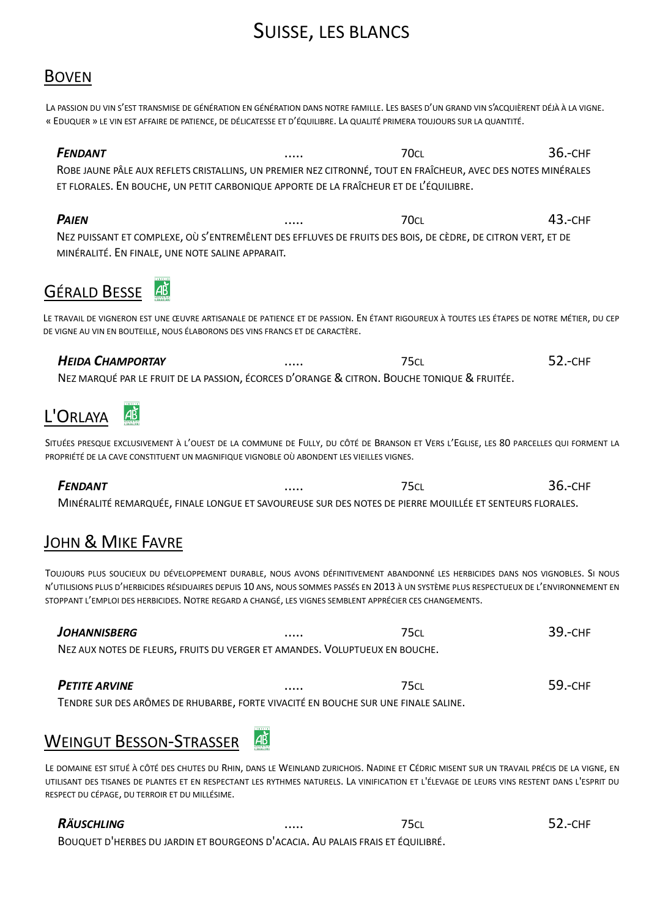# **SUISSE, LES BLANCS**

### **BOVEN**

LA PASSION DU VIN S'EST TRANSMISE DE GÉNÉRATION EN GÉNÉRATION DANS NOTRE FAMILLE. LES BASES D'UN GRAND VIN S'ACOUIÈRENT DÉJÀ À LA VIGNE. « EDUQUER » LE VIN EST AFFAIRE DE PATIENCE, DE DÉLICATESSE ET D'ÉQUILIBRE. LA QUALITÉ PRIMERA TOUJOURS SUR LA QUANTITÉ.

#### **FFNDANT**  $70c<sub>l</sub>$  $36 - CHF$  $\cdots$ ROBE JAUNE PÂLE AUX REFLETS CRISTALLINS, UN PREMIER NEZ CITRONNÉ, TOUT EN FRAÎCHEUR, AVEC DES NOTES MINÉRALES ET FLORALES. EN BOUCHE, UN PETIT CARBONIQUE APPORTE DE LA FRAÎCHEUR ET DE L'ÉQUILIBRE.

 $43 - CHP$ **PAIEN**  $70c<sub>l</sub>$  $\ldots$ NEZ PUISSANT ET COMPLEXE, OÙ S'ENTREMÊLENT DES EFFLUVES DE FRUITS DES BOIS, DE CÈDRE, DE CITRON VERT, ET DE MINÉRALITÉ. EN FINALE, UNE NOTE SALINE APPARAIT.

#### **GÉRALD BESSE AB**

LE TRAVAIL DE VIGNERON EST UNE ŒUVRE ARTISANALE DE PATIENCE ET DE PASSION. EN ÉTANT RIGOUREUX À TOUTES LES ÉTAPES DE NOTRE MÉTIER, DU CEP DE VIGNE AU VIN EN BOUTEILLE, NOUS ÉLABORONS DES VINS FRANCS ET DE CARACTÈRE.

#### 52.-CHF **HEIDA CHAMPORTAY 75CL**  $\ldots$ NEZ MARQUÉ PAR LE FRUIT DE LA PASSION, ÉCORCES D'ORANGE & CITRON, BOUCHE TONIQUE & FRUITÉE.



SITUÉES PRESQUE EXCLUSIVEMENT À L'OUEST DE LA COMMUNE DE FULLY, DU CÔTÉ DE BRANSON ET VERS L'EGLISE, LES 80 PARCELLES QUI FORMENT LA PROPRIÉTÉ DE LA CAVE CONSTITUENT UN MAGNIFIQUE VIGNOBLE OÙ ABONDENT LES VIEILLES VIGNES.

#### FENDANT  $75c<sub>1</sub>$ **36.-CHF** MINÉRALITÉ REMARQUÉE, FINALE LONGUE ET SAVOUREUSE SUR DES NOTES DE PIERRE MOUILLÉE ET SENTEURS FLORALES.

## **JOHN & MIKE FAVRE**

TOUJOURS PLUS SOUCIEUX DU DÉVELOPPEMENT DURABLE, NOUS AVONS DÉFINITIVEMENT ABANDONNÉ LES HERBICIDES DANS NOS VIGNOBLES. SI NOUS N'UTILISIONS PLUS D'HERBICIDES RÉSIDUAIRES DEPUIS 10 ANS, NOUS SOMMES PASSÉS EN 2013 À UN SYSTÈME PLUS RESPECTUEUX DE L'ENVIRONNEMENT EN STOPPANT L'EMPLOI DES HERBICIDES. NOTRE REGARD A CHANGÉ. LES VIGNES SEMBLENT APPRÉCIER CES CHANGEMENTS.

| JOHANNISBERG                                                                | <br>75cl | 39.-CHF |
|-----------------------------------------------------------------------------|----------|---------|
| NEZ AUX NOTES DE FLEURS, FRUITS DU VERGER ET AMANDES. VOLUPTUEUX EN BOUCHE. |          |         |
|                                                                             |          |         |

59.-CHF **PETITE ARVINE**  $75c<sub>l</sub>$  $\ldots$ TENDRE SUR DES ARÔMES DE RHUBARBE, FORTE VIVACITÉ EN BOUCHE SUR UNE FINALE SALINE.

#### |à **WEINGUT BESSON-STRASSER**

LE DOMAINE EST SITUÉ À CÔTÉ DES CHUTES DU RHIN, DANS LE WEINLAND ZURICHOIS. NADINE ET CÉDRIC MISENT SUR UN TRAVAIL PRÉCIS DE LA VIGNE, EN UTILISANT DES TISANES DE PLANTES ET EN RESPECTANT LES RYTHMES NATURELS. LA VINIFICATION ET L'ÉLEVAGE DE LEURS VINS RESTENT DANS L'ESPRIT DU RESPECT DU CÉPAGE, DU TERROIR ET DU MILLÉSIME.

**75CL** 

#### **RÄUSCHLING**

BOUQUET D'HERBES DU JARDIN ET BOURGEONS D'ACACIA. AU PALAIS FRAIS ET ÉQUILIBRÉ.

52.-CHF